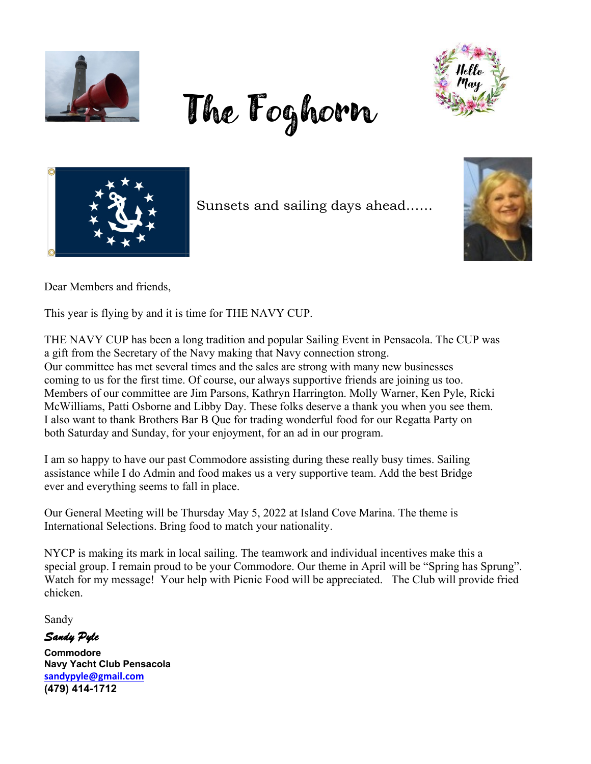

The Foghorn





Sunsets and sailing days ahead……



Dear Members and friends,

This year is flying by and it is time for THE NAVY CUP.

THE NAVY CUP has been a long tradition and popular Sailing Event in Pensacola. The CUP was a gift from the Secretary of the Navy making that Navy connection strong. Our committee has met several times and the sales are strong with many new businesses coming to us for the first time. Of course, our always supportive friends are joining us too. Members of our committee are Jim Parsons, Kathryn Harrington. Molly Warner, Ken Pyle, Ricki McWilliams, Patti Osborne and Libby Day. These folks deserve a thank you when you see them. I also want to thank Brothers Bar B Que for trading wonderful food for our Regatta Party on both Saturday and Sunday, for your enjoyment, for an ad in our program.

I am so happy to have our past Commodore assisting during these really busy times. Sailing assistance while I do Admin and food makes us a very supportive team. Add the best Bridge ever and everything seems to fall in place.

Our General Meeting will be Thursday May 5, 2022 at Island Cove Marina. The theme is International Selections. Bring food to match your nationality.

NYCP is making its mark in local sailing. The teamwork and individual incentives make this a special group. I remain proud to be your Commodore. Our theme in April will be "Spring has Sprung". Watch for my message! Your help with Picnic Food will be appreciated. The Club will provide fried chicken.

Sandy

*Sandy Pyle* 

**Commodore Navy Yacht Club Pensacola sandypyle@gmail.com (479) 414-1712**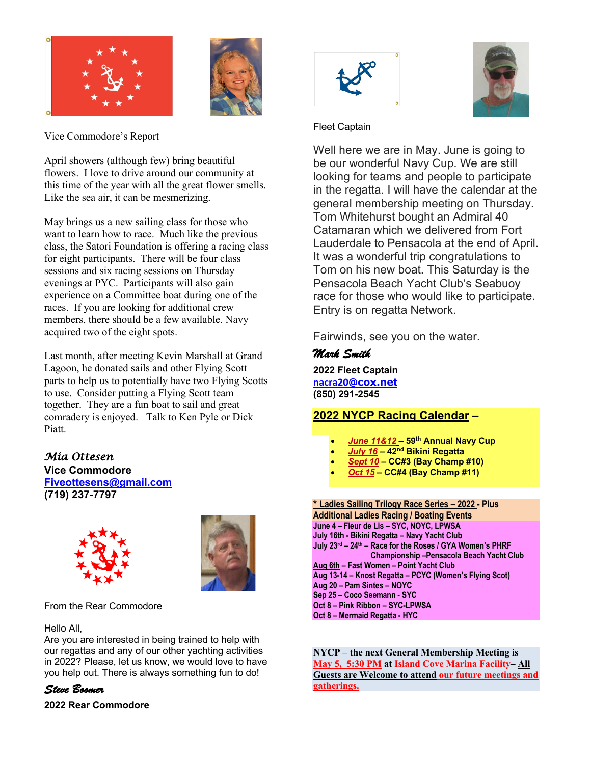



Vice Commodore's Report

April showers (although few) bring beautiful flowers. I love to drive around our community at this time of the year with all the great flower smells. Like the sea air, it can be mesmerizing.

May brings us a new sailing class for those who want to learn how to race. Much like the previous class, the Satori Foundation is offering a racing class for eight participants. There will be four class sessions and six racing sessions on Thursday evenings at PYC. Participants will also gain experience on a Committee boat during one of the races. If you are looking for additional crew members, there should be a few available. Navy acquired two of the eight spots.

Last month, after meeting Kevin Marshall at Grand Lagoon, he donated sails and other Flying Scott parts to help us to potentially have two Flying Scotts to use. Consider putting a Flying Scott team together. They are a fun boat to sail and great comradery is enjoyed. Talk to Ken Pyle or Dick Piatt.

*Mia Ottesen*  **Vice Commodore Fiveottesens@gmail.com (719) 237-7797**





From the Rear Commodore

#### Hello All,

Are you are interested in being trained to help with our regattas and any of our other yachting activities in 2022? Please, let us know, we would love to have you help out. There is always something fun to do!

## *Steve Boomer*

**2022 Rear Commodore**





### Fleet Captain

Well here we are in May. June is going to be our wonderful Navy Cup. We are still looking for teams and people to participate in the regatta. I will have the calendar at the general membership meeting on Thursday. Tom Whitehurst bought an Admiral 40 Catamaran which we delivered from Fort Lauderdale to Pensacola at the end of April. It was a wonderful trip congratulations to Tom on his new boat. This Saturday is the Pensacola Beach Yacht Club's Seabuoy race for those who would like to participate. Entry is on regatta Network.

Fairwinds, see you on the water.

## *Mark Smith*

**2022 Fleet Captain nacra20@cox.net (850) 291-2545**

## **2022 NYCP Racing Calendar –**

- *June 11&12* **– 59th Annual Navy Cup**
- *July 16* **– 42nd Bikini Regatta**
- *Sept 10* **– CC#3 (Bay Champ #10)**
- *Oct 15* **– CC#4 (Bay Champ #11)**

**\* Ladies Sailing Trilogy Race Series – 2022 - Plus Additional Ladies Racing / Boating Events June 4 – Fleur de Lis – SYC, NOYC, LPWSA July 16th - Bikini Regatta – Navy Yacht Club July 23rd – 24th – Race for the Roses / GYA Women's PHRF Championship –Pensacola Beach Yacht Club Aug 6th – Fast Women – Point Yacht Club Aug 13-14 – Knost Regatta – PCYC (Women's Flying Scot) Aug 20 – Pam Sintes – NOYC Sep 25 – Coco Seemann - SYC Oct 8 – Pink Ribbon – SYC-LPWSA Oct 8 – Mermaid Regatta - HYC**

**NYCP – the next General Membership Meeting is May 5, 5:30 PM at Island Cove Marina Facility– All Guests are Welcome to attend our future meetings and gatherings.**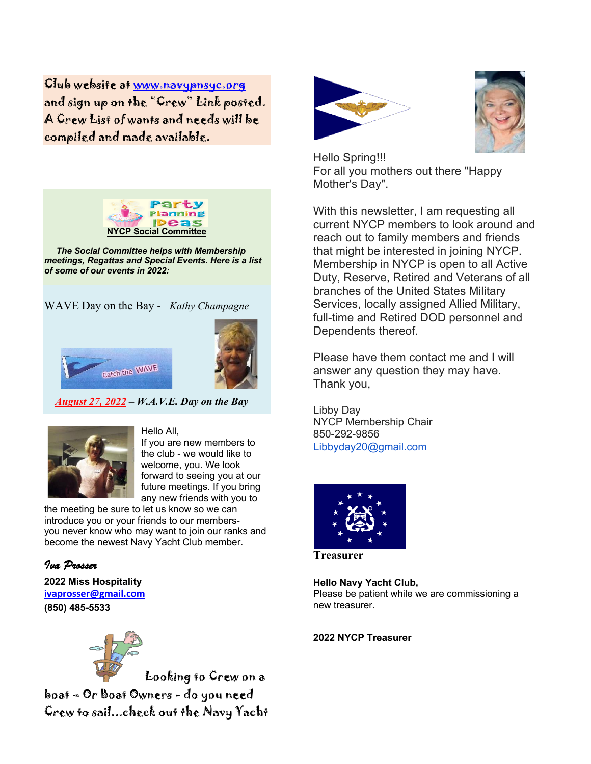Club website at www.navypnsyc.org and sign up on the "Crew" Link posted. A Crew List of wants and needs will be compiled and made available.



 *The Social Committee helps with Membership meetings, Regattas and Special Events. Here is a list of some of our events in 2022:*

WAVE Day on the Bay - *Kathy Champagne*





 *August 27, 2022 – W.A.V.E. Day on the Bay*



#### Hello All,

If you are new members to the club - we would like to welcome, you. We look forward to seeing you at our future meetings. If you bring any new friends with you to

the meeting be sure to let us know so we can introduce you or your friends to our membersyou never know who may want to join our ranks and become the newest Navy Yacht Club member.

*Iva Prosser* **2022 Miss Hospitality ivaprosser@gmail.com (850) 485-5533**



 Looking to Crew on a boat – Or Boat Owners - do you need Crew to sail...check out the Navy Yacht





Hello Spring!!! For all you mothers out there "Happy Mother's Day".

With this newsletter, I am requesting all current NYCP members to look around and reach out to family members and friends that might be interested in joining NYCP. Membership in NYCP is open to all Active Duty, Reserve, Retired and Veterans of all branches of the United States Military Services, locally assigned Allied Military, full-time and Retired DOD personnel and Dependents thereof.

Please have them contact me and I will answer any question they may have. Thank you,

Libby Day NYCP Membership Chair 850-292-9856 Libbyday20@gmail.com



**Treasurer**

**Hello Navy Yacht Club,**

Please be patient while we are commissioning a new treasurer.

**2022 NYCP Treasurer**